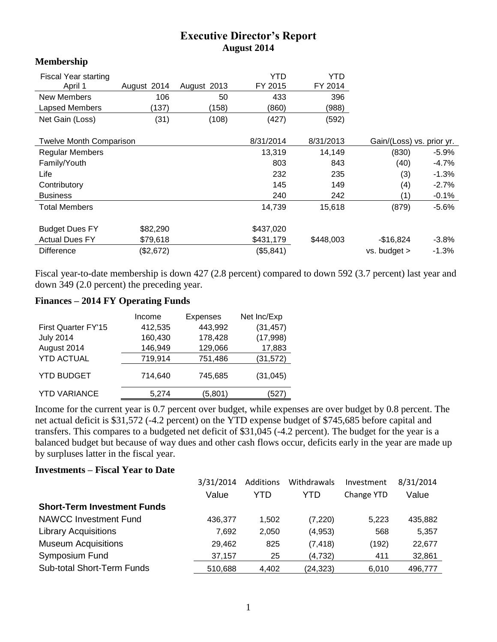## **Executive Director's Report August 2014**

| <b>Fiscal Year starting</b>    |             |             | YTD       | YTD       |                           |          |
|--------------------------------|-------------|-------------|-----------|-----------|---------------------------|----------|
| April 1                        | August 2014 | August 2013 | FY 2015   | FY 2014   |                           |          |
| <b>New Members</b>             | 106         | 50          | 433       | 396       |                           |          |
| Lapsed Members                 | (137)       | (158)       | (860)     | (988)     |                           |          |
| Net Gain (Loss)                | (31)        | (108)       | (427)     | (592)     |                           |          |
| <b>Twelve Month Comparison</b> |             |             | 8/31/2014 | 8/31/2013 | Gain/(Loss) vs. prior yr. |          |
| <b>Regular Members</b>         |             |             | 13,319    | 14,149    | (830)                     | -5.9%    |
| Family/Youth                   |             |             | 803       | 843       | (40)                      | $-4.7%$  |
| Life                           |             |             | 232       | 235       | (3)                       | $-1.3%$  |
| Contributory                   |             |             | 145       | 149       | (4)                       | $-2.7%$  |
| <b>Business</b>                |             |             | 240       | 242       | (1)                       | $-0.1%$  |
| <b>Total Members</b>           |             |             | 14,739    | 15,618    | (879)                     | $-5.6\%$ |
| <b>Budget Dues FY</b>          | \$82,290    |             | \$437,020 |           |                           |          |
| <b>Actual Dues FY</b>          | \$79,618    |             | \$431,179 | \$448,003 | $-$ \$16,824              | $-3.8\%$ |
| <b>Difference</b>              | (\$2,672)   |             | (\$5,841) |           | vs. budget >              | $-1.3%$  |
|                                |             |             |           |           |                           |          |

Fiscal year-to-date membership is down 427 (2.8 percent) compared to down 592 (3.7 percent) last year and down 349 (2.0 percent) the preceding year.

## **Finances – 2014 FY Operating Funds**

**Membership**

|                     | Income  | <b>Expenses</b> | Net Inc/Exp |
|---------------------|---------|-----------------|-------------|
| First Quarter FY'15 | 412,535 | 443,992         | (31, 457)   |
| <b>July 2014</b>    | 160,430 | 178,428         | (17,998)    |
| August 2014         | 146,949 | 129,066         | 17,883      |
| <b>YTD ACTUAL</b>   | 719,914 | 751,486         | (31, 572)   |
| <b>YTD BUDGET</b>   | 714,640 | 745,685         | (31, 045)   |
| <b>YTD VARIANCE</b> | 5,274   | (5,801)         | (527        |

Income for the current year is 0.7 percent over budget, while expenses are over budget by 0.8 percent. The net actual deficit is \$31,572 (-4.2 percent) on the YTD expense budget of \$745,685 before capital and transfers. This compares to a budgeted net deficit of \$31,045 (-4.2 percent). The budget for the year is a balanced budget but because of way dues and other cash flows occur, deficits early in the year are made up by surpluses latter in the fiscal year.

## **Investments – Fiscal Year to Date**

|                                    | 3/31/2014 | Additions | Withdrawals | Investment | 8/31/2014 |
|------------------------------------|-----------|-----------|-------------|------------|-----------|
|                                    | Value     | YTD       | YTD         | Change YTD | Value     |
| <b>Short-Term Investment Funds</b> |           |           |             |            |           |
| <b>NAWCC Investment Fund</b>       | 436,377   | 1.502     | (7, 220)    | 5,223      | 435,882   |
| <b>Library Acquisitions</b>        | 7.692     | 2,050     | (4,953)     | 568        | 5,357     |
| <b>Museum Acquisitions</b>         | 29,462    | 825       | (7, 418)    | (192)      | 22,677    |
| Symposium Fund                     | 37,157    | 25        | (4,732)     | 411        | 32,861    |
| <b>Sub-total Short-Term Funds</b>  | 510,688   | 4.402     | (24, 323)   | 6.010      | 496.777   |